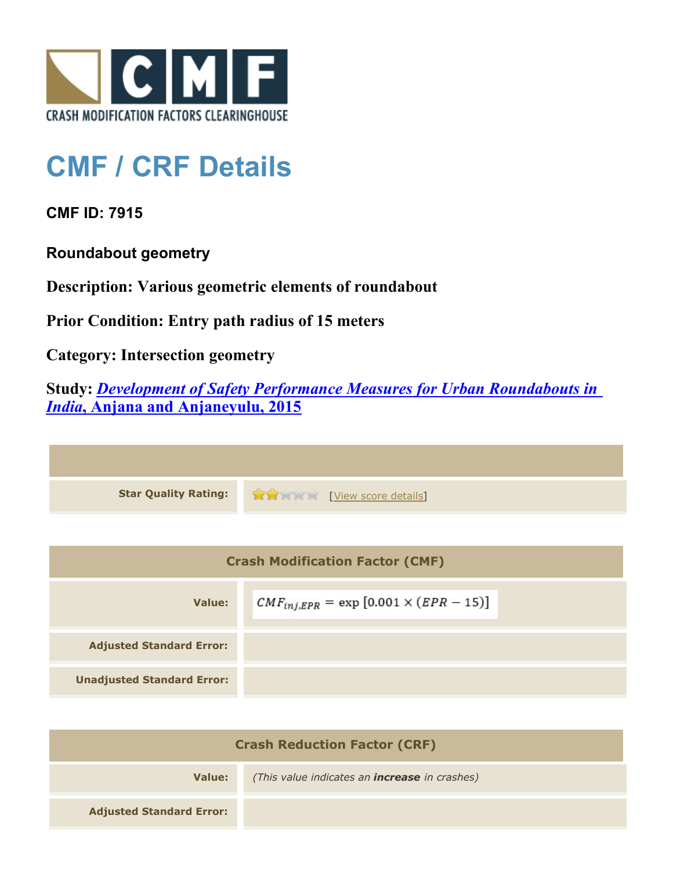

## **CMF / CRF Details**

**CMF ID: 7915**

**Roundabout geometry**

**Description: Various geometric elements of roundabout**

**Prior Condition: Entry path radius of 15 meters**

**Category: Intersection geometry**

**Study:** *[Development of Safety Performance Measures for Urban Roundabouts in](http://www.cmfclearinghouse.org/study_detail.cfm?stid=428) [India](http://www.cmfclearinghouse.org/study_detail.cfm?stid=428)***[, Anjana and Anjaneyulu, 2015](http://www.cmfclearinghouse.org/study_detail.cfm?stid=428)**



| <b>Crash Modification Factor (CMF)</b> |                                                   |  |
|----------------------------------------|---------------------------------------------------|--|
| Value:                                 | $CMF_{inj, EPR} = \exp [0.001 \times (EPR - 15)]$ |  |
| <b>Adjusted Standard Error:</b>        |                                                   |  |
| <b>Unadjusted Standard Error:</b>      |                                                   |  |

| <b>Crash Reduction Factor (CRF)</b> |                                                      |
|-------------------------------------|------------------------------------------------------|
| Value:                              | (This value indicates an <b>increase</b> in crashes) |
| <b>Adjusted Standard Error:</b>     |                                                      |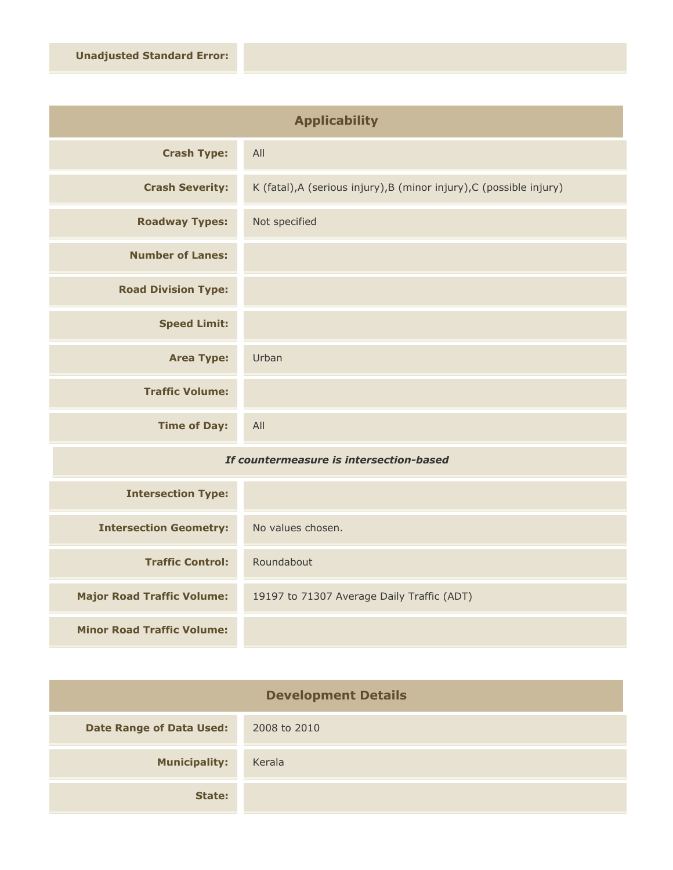| <b>Applicability</b>       |                                                                      |
|----------------------------|----------------------------------------------------------------------|
| <b>Crash Type:</b>         | All                                                                  |
| <b>Crash Severity:</b>     | K (fatal), A (serious injury), B (minor injury), C (possible injury) |
| <b>Roadway Types:</b>      | Not specified                                                        |
| <b>Number of Lanes:</b>    |                                                                      |
| <b>Road Division Type:</b> |                                                                      |
| <b>Speed Limit:</b>        |                                                                      |
| <b>Area Type:</b>          | Urban                                                                |
| <b>Traffic Volume:</b>     |                                                                      |
| <b>Time of Day:</b>        | All                                                                  |

## *If countermeasure is intersection-based*

| <b>Intersection Type:</b>         |                                            |
|-----------------------------------|--------------------------------------------|
| <b>Intersection Geometry:</b>     | No values chosen.                          |
| <b>Traffic Control:</b>           | Roundabout                                 |
| <b>Major Road Traffic Volume:</b> | 19197 to 71307 Average Daily Traffic (ADT) |
| <b>Minor Road Traffic Volume:</b> |                                            |

| <b>Development Details</b>      |              |
|---------------------------------|--------------|
| <b>Date Range of Data Used:</b> | 2008 to 2010 |
| <b>Municipality:</b>            | Kerala       |
| State:                          |              |